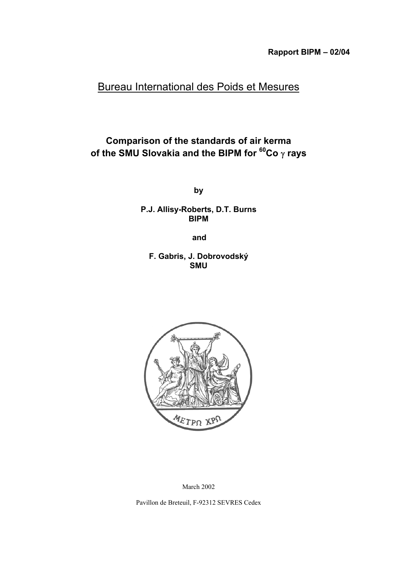# Bureau International des Poids et Mesures

## **Comparison of the standards of air kerma of the SMU Slovakia and the BIPM for 60Co** γ **rays**

**by**

**P.J. Allisy-Roberts, D.T. Burns BIPM**

**and**

**F. Gabris, J. Dobrovodský SMU**



March 2002

Pavillon de Breteuil, F-92312 SEVRES Cedex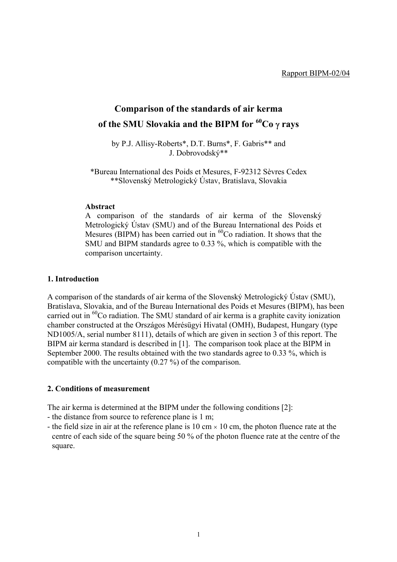# **Comparison of the standards of air kerma of the SMU Slovakia and the BIPM for 60Co** γ **rays**

by P.J. Allisy-Roberts\*, D.T. Burns\*, F. Gabris\*\* and J. Dobrovodský\*\*

\*Bureau International des Poids et Mesures, F-92312 Sèvres Cedex \*\*Slovenský Metrologický Ústav, Bratislava, Slovakia

#### **Abstract**

A comparison of the standards of air kerma of the Slovenský Metrologický Ústav (SMU) and of the Bureau International des Poids et Mesures (BIPM) has been carried out in  ${}^{60}$ Co radiation. It shows that the SMU and BIPM standards agree to 0.33 %, which is compatible with the comparison uncertainty.

#### **1. Introduction**

A comparison of the standards of air kerma of the Slovenský Metrologický Ústav (SMU), Bratislava, Slovakia, and of the Bureau International des Poids et Mesures (BIPM), has been carried out in  ${}^{60}$ Co radiation. The SMU standard of air kerma is a graphite cavity ionization chamber constructed at the Országos Mérésügyi Hivatal (OMH), Budapest, Hungary (type ND1005/A, serial number 8111), details of which are given in section 3 of this report. The BIPM air kerma standard is described in [1]. The comparison took place at the BIPM in September 2000. The results obtained with the two standards agree to 0.33 %, which is compatible with the uncertainty (0.27 %) of the comparison.

#### **2. Conditions of measurement**

The air kerma is determined at the BIPM under the following conditions [2]:

- the distance from source to reference plane is 1 m;
- the field size in air at the reference plane is 10 cm  $\times$  10 cm, the photon fluence rate at the centre of each side of the square being 50 % of the photon fluence rate at the centre of the square.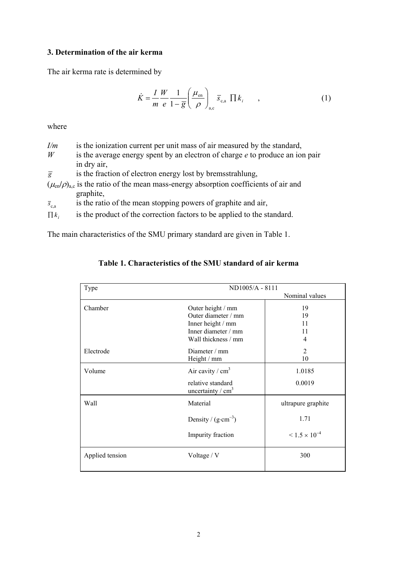### **3. Determination of the air kerma**

The air kerma rate is determined by

$$
\dot{K} = \frac{I}{m} \frac{W}{e} \frac{1}{1 - \overline{g}} \left( \frac{\mu_{\text{en}}}{\rho} \right)_{\text{a,c}} \overline{s}_{\text{c,a}} \prod k_i \tag{1}
$$

where

| I/m            | is the ionization current per unit mass of air measured by the standard,      |
|----------------|-------------------------------------------------------------------------------|
| W              | is the average energy spent by an electron of charge e to produce an ion pair |
|                | in dry air,                                                                   |
| $\overline{g}$ | is the fraction of electron energy lost by bremsstrahlung,                    |

 $(\mu_{en}/\rho)_{a,c}$  is the ratio of the mean mass-energy absorption coefficients of air and graphite,

 $\bar{s}_{c,a}$  is the ratio of the mean stopping powers of graphite and air,

 $\prod k_i$  is the product of the correction factors to be applied to the standard.

The main characteristics of the SMU primary standard are given in Table 1.

| Type            | ND1005/A - 8111                          |                                      |  |  |
|-----------------|------------------------------------------|--------------------------------------|--|--|
|                 |                                          | Nominal values                       |  |  |
| Chamber         | Outer height / mm                        | 19                                   |  |  |
|                 | Outer diameter / mm                      | 19                                   |  |  |
|                 | Inner height / mm                        | 11                                   |  |  |
|                 | Inner diameter / mm                      | 11                                   |  |  |
|                 | Wall thickness / mm                      | 4                                    |  |  |
| Electrode       | Diameter / mm                            | 2                                    |  |  |
|                 | Height / mm                              | 10                                   |  |  |
| Volume          | Air cavity / $cm3$                       | 1.0185                               |  |  |
|                 | relative standard<br>uncertainty / $cm3$ | 0.0019                               |  |  |
| Wall            | Material                                 | ultrapure graphite                   |  |  |
|                 | Density / $(g \cdot cm^{-3})$            | 1.71                                 |  |  |
|                 | Impurity fraction                        | $\leq$ 1.5 $\times$ 10 <sup>-4</sup> |  |  |
| Applied tension | Voltage / V                              | 300                                  |  |  |

| Table 1. Characteristics of the SMU standard of air kerma |  |  |  |
|-----------------------------------------------------------|--|--|--|
|                                                           |  |  |  |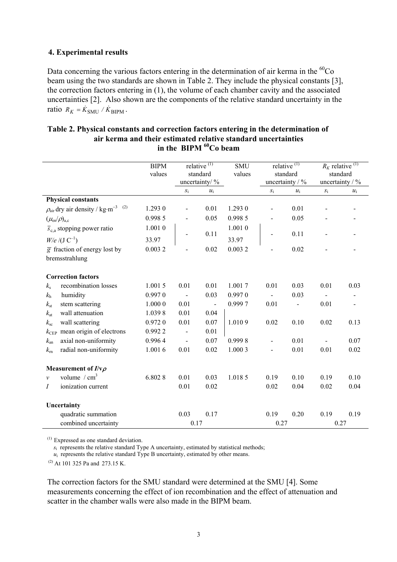#### **4. Experimental results**

Data concerning the various factors entering in the determination of air kerma in the  ${}^{60}Co$ beam using the two standards are shown in Table 2. They include the physical constants [3], the correction factors entering in (1), the volume of each chamber cavity and the associated uncertainties [2]. Also shown are the components of the relative standard uncertainty in the ratio  $R_K = \dot{K}_{\text{SMU}} / \dot{K}_{\text{BIPM}}$ .

|                          |                                                              | <b>BIPM</b> |                | relative $\overline{^{(1)}}$ | <b>SMU</b> |                | relative $\overline{^{(1)}}$ |       | $R_K$ relative <sup>(1)</sup> |
|--------------------------|--------------------------------------------------------------|-------------|----------------|------------------------------|------------|----------------|------------------------------|-------|-------------------------------|
|                          |                                                              | values      |                | standard                     | values     |                | standard                     |       | standard                      |
|                          |                                                              |             |                | uncertainty/ %               |            |                | uncertainty $/$ %            |       | uncertainty / %               |
|                          |                                                              |             | $S_{1}$        | $u_i$                        |            | $S_1$          | $u_i$                        | $S_1$ | $u_i$                         |
|                          | <b>Physical constants</b>                                    |             |                |                              |            |                |                              |       |                               |
|                          | $\rho_{\text{air}}$ dry air density / kg·m <sup>-3 (2)</sup> | 1.293 0     |                | 0.01                         | 1.293 0    |                | 0.01                         |       |                               |
|                          | $(\mu_{\rm en}/\rho)_{\rm a.c}$                              | 0.998 5     |                | 0.05                         | 0.998 5    |                | 0.05                         |       |                               |
|                          | $\overline{s}_{c,a}$ stopping power ratio                    | 1.0010      |                |                              | 1.0010     |                |                              |       |                               |
|                          | $W/e / (J C^{-1})$                                           | 33.97       |                | 0.11                         | 33.97      |                | 0.11                         |       |                               |
|                          | $\overline{g}$ fraction of energy lost by                    | 0.0032      |                | 0.02                         | 0.0032     |                | 0.02                         |       |                               |
|                          | bremsstrahlung                                               |             |                |                              |            |                |                              |       |                               |
|                          | <b>Correction factors</b>                                    |             |                |                              |            |                |                              |       |                               |
| $k_{\rm s}$              | recombination losses                                         | 1.0015      | 0.01           | 0.01                         | 1.0017     | 0.01           | 0.03                         | 0.01  | 0.03                          |
| $k_{\rm h}$              | humidity                                                     | 0.9970      | $\blacksquare$ | 0.03                         | 0.9970     | $\blacksquare$ | 0.03                         |       |                               |
| $k_{\rm st}$             | stem scattering                                              | 1.0000      | 0.01           | $\blacksquare$               | 0.9997     | 0.01           |                              | 0.01  |                               |
| $k_{\rm at}$             | wall attenuation                                             | 1.0398      | 0.01           | 0.04                         |            |                |                              |       |                               |
| $k_{\rm sc}$             | wall scattering                                              | 0.9720      | 0.01           | 0.07                         | 1.0109     | 0.02           | 0.10                         | 0.02  | 0.13                          |
| $k_{\rm CEP}$            | mean origin of electrons                                     | 0.9922      |                | 0.01                         |            |                |                              |       |                               |
| $k_{\rm an}$             | axial non-uniformity                                         | 0.9964      |                | 0.07                         | 0.9998     |                | 0.01                         |       | 0.07                          |
| $k_{\rm m}$              | radial non-uniformity                                        | 1.0016      | 0.01           | 0.02                         | 1.0003     | $\overline{a}$ | 0.01                         | 0.01  | 0.02                          |
| Measurement of $I/v\rho$ |                                                              |             |                |                              |            |                |                              |       |                               |
| $\mathcal V$             | volume / $cm3$                                               | 6.8028      | 0.01           | 0.03                         | 1.0185     | 0.19           | 0.10                         | 0.19  | 0.10                          |
| Ι                        | ionization current                                           |             | 0.01           | 0.02                         |            | 0.02           | 0.04                         | 0.02  | 0.04                          |
|                          | Uncertainty                                                  |             |                |                              |            |                |                              |       |                               |
|                          | quadratic summation                                          |             | 0.03           | 0.17                         |            | 0.19           | 0.20                         | 0.19  | 0.19                          |
|                          | combined uncertainty                                         |             | 0.17           |                              |            | 0.27           |                              |       | 0.27                          |

#### **Table 2. Physical constants and correction factors entering in the determination of air kerma and their estimated relative standard uncertainties** in the BIPM <sup>60</sup>Co beam

(1) Expressed as one standard deviation.

 $s_i$  represents the relative standard Type A uncertainty, estimated by statistical methods;

 $u_i$  represents the relative standard Type B uncertainty, estimated by other means.

(2) At 101 325 Pa and 273.15 K.

The correction factors for the SMU standard were determined at the SMU [4]. Some measurements concerning the effect of ion recombination and the effect of attenuation and scatter in the chamber walls were also made in the BIPM beam.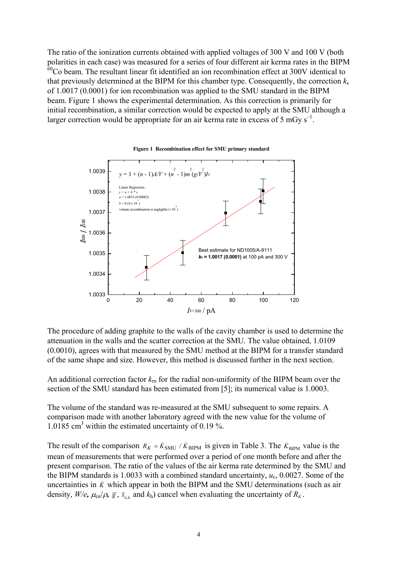The ratio of the ionization currents obtained with applied voltages of 300 V and 100 V (both polarities in each case) was measured for a series of four different air kerma rates in the BIPM  $60^{\circ}$ Co beam. The resultant linear fit identified an ion recombination effect at 300V identical to that previously determined at the BIPM for this chamber type. Consequently, the correction *k*<sup>s</sup> of 1.0017 (0.0001) for ion recombination was applied to the SMU standard in the BIPM beam. Figure 1 shows the experimental determination. As this correction is primarily for initial recombination, a similar correction would be expected to apply at the SMU although a larger correction would be appropriate for an air kerma rate in excess of 5 mGy  $s^{-1}$ .



**Figure 1 Recombination effect for SMU primary standard** 

The procedure of adding graphite to the walls of the cavity chamber is used to determine the attenuation in the walls and the scatter correction at the SMU. The value obtained, 1.0109 (0.0010), agrees with that measured by the SMU method at the BIPM for a transfer standard of the same shape and size. However, this method is discussed further in the next section.

An additional correction factor  $k_{\text{rn}}$  for the radial non-uniformity of the BIPM beam over the section of the SMU standard has been estimated from [5]; its numerical value is 1.0003.

The volume of the standard was re-measured at the SMU subsequent to some repairs. A comparison made with another laboratory agreed with the new value for the volume of 1.0185 cm<sup>3</sup> within the estimated uncertainty of 0.19 %.

The result of the comparison  $R_K = \dot{K}_{SMU} / \dot{K}_{BIPM}$  is given in Table 3. The  $\dot{K}_{BIPM}$  value is the mean of measurements that were performed over a period of one month before and after the present comparison. The ratio of the values of the air kerma rate determined by the SMU and the BIPM standards is 1.0033 with a combined standard uncertainty, *u*c, 0.0027. Some of the uncertainties in  $\dot{K}$  which appear in both the BIPM and the SMU determinations (such as air density,  $W/e$ ,  $\mu_{en}/\rho$ ,  $\bar{g}$ ,  $\bar{s}_{ca}$  and  $k_h$ ) cancel when evaluating the uncertainty of  $R_K$ .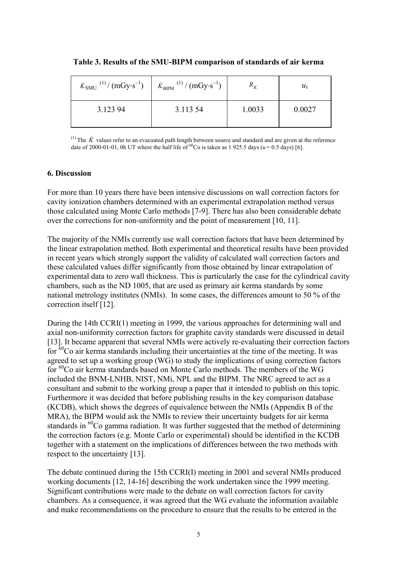| $\dot{K}_{\text{SMU}}^{(1)}/(\text{mGy·s}^{-1})$ | $\dot{K}_{\text{BIPM}}^{(1)}/(\text{mGy-s}^{-1})$ | $R_K$  | $u_{\rm c}$ |
|--------------------------------------------------|---------------------------------------------------|--------|-------------|
| 3.123 94                                         | 3.113.54                                          | 1.0033 | 0.0027      |

**Table 3. Results of the SMU-BIPM comparison of standards of air kerma**

<sup>(1)</sup> The  $\dot{K}$  values refer to an evacuated path length between source and standard and are given at the reference date of 2000-01-01, 0h UT where the half life of <sup>60</sup>Co is taken as 1 925.5 days ( $u = 0.5$  days) [6].

#### **6. Discussion**

For more than 10 years there have been intensive discussions on wall correction factors for cavity ionization chambers determined with an experimental extrapolation method versus those calculated using Monte Carlo methods [7-9]. There has also been considerable debate over the corrections for non-uniformity and the point of measurement [10, 11].

The majority of the NMIs currently use wall correction factors that have been determined by the linear extrapolation method. Both experimental and theoretical results have been provided in recent years which strongly support the validity of calculated wall correction factors and these calculated values differ significantly from those obtained by linear extrapolation of experimental data to zero wall thickness. This is particularly the case for the cylindrical cavity chambers, such as the ND 1005, that are used as primary air kerma standards by some national metrology institutes (NMIs). In some cases, the differences amount to 50 % of the correction itself [12].

During the 14th CCRI(1) meeting in 1999, the various approaches for determining wall and axial non-uniformity correction factors for graphite cavity standards were discussed in detail [13]. It became apparent that several NMIs were actively re-evaluating their correction factors for  ${}^{60}$ Co air kerma standards including their uncertainties at the time of the meeting. It was agreed to set up a working group (WG) to study the implications of using correction factors for <sup>60</sup>Co air kerma standards based on Monte Carlo methods. The members of the WG included the BNM-LNHB, NIST, NMi, NPL and the BIPM. The NRC agreed to act as a consultant and submit to the working group a paper that it intended to publish on this topic. Furthermore it was decided that before publishing results in the key comparison database (KCDB), which shows the degrees of equivalence between the NMIs (Appendix B of the MRA), the BIPM would ask the NMIs to review their uncertainty budgets for air kerma standards in  ${}^{60}Co$  gamma radiation. It was further suggested that the method of determining the correction factors (e.g. Monte Carlo or experimental) should be identified in the KCDB together with a statement on the implications of differences between the two methods with respect to the uncertainty [13].

The debate continued during the 15th CCRI(I) meeting in 2001 and several NMIs produced working documents [12, 14-16] describing the work undertaken since the 1999 meeting. Significant contributions were made to the debate on wall correction factors for cavity chambers. As a consequence, it was agreed that the WG evaluate the information available and make recommendations on the procedure to ensure that the results to be entered in the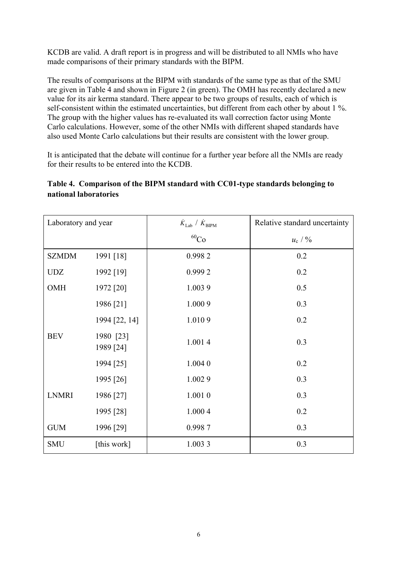KCDB are valid. A draft report is in progress and will be distributed to all NMIs who have made comparisons of their primary standards with the BIPM.

The results of comparisons at the BIPM with standards of the same type as that of the SMU are given in Table 4 and shown in Figure 2 (in green). The OMH has recently declared a new value for its air kerma standard. There appear to be two groups of results, each of which is self-consistent within the estimated uncertainties, but different from each other by about 1 %. The group with the higher values has re-evaluated its wall correction factor using Monte Carlo calculations. However, some of the other NMIs with different shaped standards have also used Monte Carlo calculations but their results are consistent with the lower group.

It is anticipated that the debate will continue for a further year before all the NMIs are ready for their results to be entered into the KCDB.

## **Table 4. Comparison of the BIPM standard with CC01-type standards belonging to national laboratories**

| Laboratory and year |                        | $\dot{K}_{\rm Lab}$ / $\dot{K}_{\rm BIPM}$ | Relative standard uncertainty |  |
|---------------------|------------------------|--------------------------------------------|-------------------------------|--|
|                     |                        | ${}^{60}Co$                                | $u_{\rm c}$ / $\%$            |  |
| <b>SZMDM</b>        | 1991 [18]              | 0.9982                                     | 0.2                           |  |
| <b>UDZ</b>          | 1992 [19]              | 0.9992                                     | 0.2                           |  |
| OMH                 | 1972 [20]              | 1.0039                                     | 0.5                           |  |
|                     | 1986 [21]              | 1.000 9                                    | 0.3                           |  |
|                     | 1994 [22, 14]          | 1.0109                                     | 0.2                           |  |
| <b>BEV</b>          | 1980 [23]<br>1989 [24] | 1.0014                                     | 0.3                           |  |
|                     | 1994 [25]              | 1.004 0                                    | 0.2                           |  |
|                     | 1995 [26]              | 1.0029                                     | 0.3                           |  |
| <b>LNMRI</b>        | 1986 [27]              | 1.001 0                                    | 0.3                           |  |
|                     | 1995 [28]              | 1.000 4                                    | 0.2                           |  |
| <b>GUM</b>          | 1996 [29]              | 0.9987                                     | 0.3                           |  |
| <b>SMU</b>          | [this work]            | 1.0033                                     | 0.3                           |  |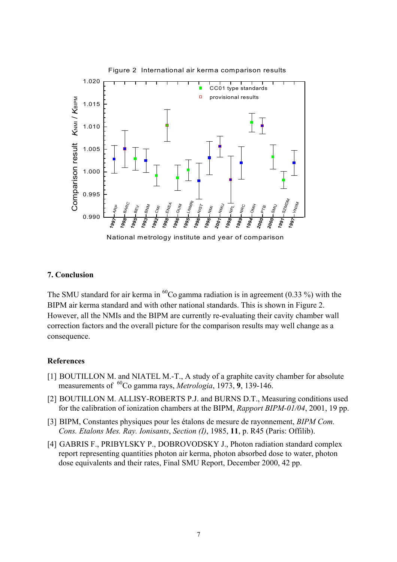

National metrology institute and year of comparison

### **7. Conclusion**

The SMU standard for air kerma in  ${}^{60}Co$  gamma radiation is in agreement (0.33 %) with the BIPM air kerma standard and with other national standards. This is shown in Figure 2. However, all the NMIs and the BIPM are currently re-evaluating their cavity chamber wall correction factors and the overall picture for the comparison results may well change as a consequence.

### **References**

- [1] BOUTILLON M. and NIATEL M.-T., A study of a graphite cavity chamber for absolute measurements of 60Co gamma rays, *Metrologia*, 1973, **9**, 139-146.
- [2] BOUTILLON M. ALLISY-ROBERTS P.J. and BURNS D.T., Measuring conditions used for the calibration of ionization chambers at the BIPM, *Rapport BIPM-01/04*, 2001, 19 pp.
- [3] BIPM, Constantes physiques pour les étalons de mesure de rayonnement, *BIPM Com. Cons. Etalons Mes. Ray. Ionisants*, *Section (I)*, 1985, **11**, p. R45 (Paris: Offilib).
- [4] GABRIS F., PRIBYLSKY P., DOBROVODSKY J., Photon radiation standard complex report representing quantities photon air kerma, photon absorbed dose to water, photon dose equivalents and their rates, Final SMU Report, December 2000, 42 pp.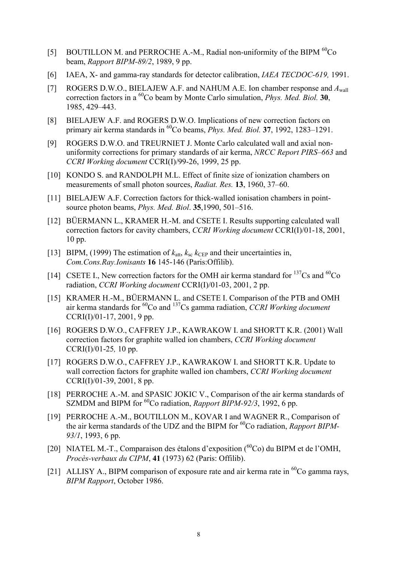- [5] BOUTILLON M. and PERROCHE A.-M., Radial non-uniformity of the BIPM  ${}^{60}Co$ beam, *Rapport BIPM-89/2*, 1989, 9 pp.
- [6] IAEA, X- and gamma-ray standards for detector calibration, *IAEA TECDOC-619,* 1991.
- [7] ROGERS D.W.O., BIELAJEW A.F. and NAHUM A.E. Ion chamber response and *A*wall correction factors in a 60Co beam by Monte Carlo simulation, *Phys. Med. Biol.* **30**, 1985, 429–443.
- [8] BIELAJEW A.F. and ROGERS D.W.O. Implications of new correction factors on primary air kerma standards in 60Co beams, *Phys. Med. Biol.* **37**, 1992, 1283–1291.
- [9] ROGERS D.W.O. and TREURNIET J. Monte Carlo calculated wall and axial nonuniformity corrections for primary standards of air kerma, *NRCC Report PIRS–663* and *CCRI Working document* CCRI(I)/99-26, 1999, 25 pp.
- [10] KONDO S. and RANDOLPH M.L. Effect of finite size of ionization chambers on measurements of small photon sources, *Radiat. Res.* **13**, 1960, 37–60.
- [11] BIELAJEW A.F. Correction factors for thick-walled ionisation chambers in pointsource photon beams, *Phys. Med. Biol*. **35**,1990, 501–516.
- [12] BÜERMANN L., KRAMER H.-M. and CSETE I. Results supporting calculated wall correction factors for cavity chambers, *CCRI Working document* CCRI(I)/01-18, 2001, 10 pp.
- [13] BIPM, (1999) The estimation of  $k_{\text{att}}$ ,  $k_{\text{sc}}$   $k_{\text{CEP}}$  and their uncertainties in, *Com.Cons.Ray.Ionisants* **16** 145-146 (Paris:Offilib).
- [14] CSETE I., New correction factors for the OMH air kerma standard for  $^{137}Cs$  and  $^{60}Co$ radiation, *CCRI Working document* CCRI(I)/01-03, 2001, 2 pp.
- [15] KRAMER H.-M., BÜERMANN L. and CSETE I. Comparison of the PTB and OMH air kerma standards for 60Co and 137Cs gamma radiation, *CCRI Working document* CCRI(I)/01-17, 2001, 9 pp.
- [16] ROGERS D.W.O., CAFFREY J.P., KAWRAKOW I. and SHORTT K.R. (2001) Wall correction factors for graphite walled ion chambers, *CCRI Working document* CCRI(I)/01-25*,* 10 pp.
- [17] ROGERS D.W.O., CAFFREY J.P., KAWRAKOW I. and SHORTT K.R. Update to wall correction factors for graphite walled ion chambers, *CCRI Working document* CCRI(I)/01-39, 2001, 8 pp.
- [18] PERROCHE A.-M. and SPASIC JOKIC V., Comparison of the air kerma standards of SZMDM and BIPM for <sup>60</sup>Co radiation, *Rapport BIPM-92/3*, 1992, 6 pp.
- [19] PERROCHE A.-M., BOUTILLON M., KOVAR I and WAGNER R., Comparison of the air kerma standards of the UDZ and the BIPM for 60Co radiation, *Rapport BIPM-93/1*, 1993, 6 pp.
- [20] NIATEL M.-T., Comparaison des étalons d'exposition  $(^{60}Co)$  du BIPM et de l'OMH, *Procès-verbaux du CIPM*, **41** (1973) 62 (Paris: Offilib).
- [21] ALLISY A., BIPM comparison of exposure rate and air kerma rate in  ${}^{60}Co$  gamma rays, *BIPM Rapport*, October 1986.